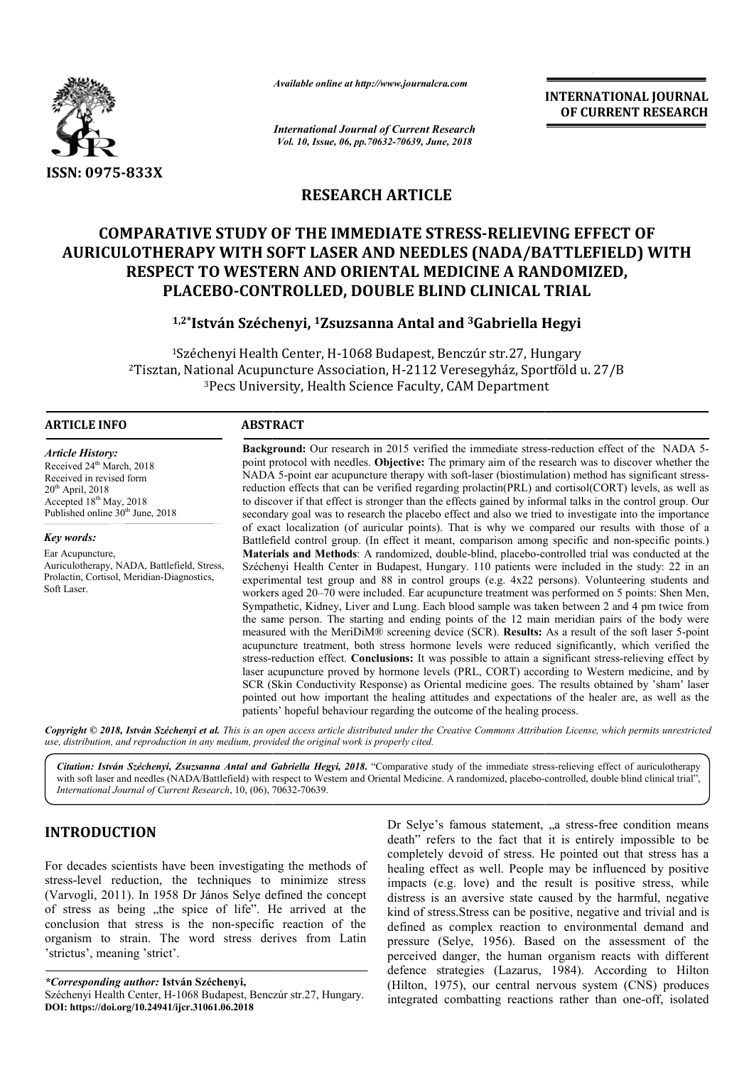

*Available online at http://www.journalcra.com*

*International Journal of Current Research Vol. 10, Issue, 06, pp.70632-70639, June, 2018*

**INTERNATIONAL JOURNAL OF CURRENT RESEARCH**

### **RESEARCH ARTICLE**

## **COMPARATIVE STUDY OF THE IMMEDIATE STRESS STRESS-RELIEVING EFFECT OF RELIEVING AURICULOTHERAPY WITH SOFT LASER AND NEEDLES (NADA/BATTLEFIELD) WITH<br>
RESPECT TO WESTERN AND ORIENTAL MEDICINE A RANDOMIZED,<br>
PLACEBO-CONTROLLED, DOUBLE BLIND CLINICAL TRIAL<br>
1,2\*István Széchenyi, <sup>1</sup>Zsuzsanna Antal and <sup>3**</sup> **RESPECT TO WESTERN AND ORIENTAL MEDICINE O A RANDOMIZED, PLACEBO-CONTROLLED, DOUBLE BLIND CLINICAL TRIAL**

# LACEBO-CONTROLLED, DOUBLE BLIND CLINICAL TRIA<br><sup>1,2\*</sup>István Széchenyi, <sup>1</sup>Zsuzsanna Antal and <sup>3</sup>Gabriella Hegyi

<sup>1</sup>Széchenyi Health Center, H-1068 Budapest, Benczúr str.27, Hungary <sup>1</sup>Széchenyi Health Center, H-1068 Budapest, Benczúr str.27, Hungary<br>Tisztan, National Acupuncture Association, H-2112 Veresegyház, Sportföld u. 27/B <sup>3</sup>Pecs University, Health Science Faculty, CAM Department

#### **ARTICLE INFO ABSTRACT**

*Article History:* Received 24<sup>th</sup> March, 2018 Received in revised form 20th April, 2018 Accepted 18<sup>th</sup> May, 2018 Published online 30<sup>th</sup> June, 2018

*Key words:* Ear Acupuncture,

Soft Laser.

Auriculotherapy, NADA, Battlefield, Stress, Prolactin, Cortisol, Meridian-Diagnostics,

Background: Our research in 2015 verified the immediate stress-reduction effect of the NADA 5point protocol with needles. **Objective:** The primary aim of the research was to discover whether the point protocol with needles. **Objective:** The primary aim of the research was to discover whether the NADA 5-point ear acupuncture therapy with soft-laser (biostimulation) method has significant stressreduction effects that can be verified regarding prolactin(PRL) and cortisol(CORT) levels, as well as reduction effects that can be verified regarding prolactin(PRL) and cortisol(CORT) levels, as well as<br>to discover if that effect is stronger than the effects gained by informal talks in the control group. Our secondary goal was to research the placebo effect and also we tried to investigate into the importance of exact localization (of auricular points). That is why we compared our results with those of a of exact localization (of auricular points). That is why we compared our results with those of a<br>Battlefield control group. (In effect it meant, comparison among specific and non-specific points.) **Materials and Methods** : A randomized, double-blind, placebo-controlled trial was conducted at the Széchenyi Health Center in Budapest, Hungary. 110 patients were included in the study: 22 in an **Materials and Methods**: A randomized, double-blind, placebo-controlled trial was conducted at the Széchenyi Health Center in Budapest, Hungary. 110 patients were included in the study: 22 in an experimental test group and workers aged 20–70 were included. Ear acupuncture treatment was performed on 5 points: Shen Men, Sympathetic, Kidney, Liver and Lung. Each blood sample was taken between 2 and 4 pm twice from workers aged 20–70 were included. Ear acupuncture treatment was performed on 5 points: Shen Men, Sympathetic, Kidney, Liver and Lung. Each blood sample was taken between 2 and 4 pm twice from the same person. The starting measured with the MeriDiM® screening device (SCR). **Results: Results:** As a result of the soft laser 5-point acupuncture treatment, both stress hormone levels were reduced significantly, which verified the acupuncture treatment, both stress hormone levels were reduced significantly, which verified the stress-reduction effect. Conclusions: It was possible to attain a significant stress-relieving effect by laser acupuncture proved by hormone levels (PRL, CORT) according to Western medicine, and by SCR (Skin Conductivity Response) as Oriental medicine goes. The results obtained by 'sham' laser pointed out how important the healing attitudes and expectations of the healer are, as well as the patients' hopeful behaviour regarding the outcome of the healing process. laser acupuncture proved by hormone levels (PRL, CORT) according to Western medicine, is SCR (Skin Conductivity Response) as Oriental medicine goes. The results obtained by 'sham pointed out how important the healing attit

Copyright © 2018, István Széchenyi et al. This is an open access article distributed under the Creative Commons Attribution License, which permits unrestrictea *use, distribution, and reproduction in any medium, provided the original work is properly cited.*

Citation: István Széchenyi, Zsuzsanna Antal and Gabriella Hegyi, 2018. "Comparative study of the immediate stress-relieving effect of auriculotherapy with soft laser and needles (NADA/Battlefield) with respect to Western and Oriental Medicine. A randomized, placebo-controlled, double blind clinical trial", *International Journal of Current Research*, 10, (06), 70632 70632-70639.

#### **INTRODUCTION**

For decades scientists have been investigating the methods of stress-level reduction, the techniques to minimize stress (Varvogli, 2011). In 1958 Dr János Selye defined the concept of stress as being the spice of life". He arrived at the conclusion that stress is the non-specific reaction of the organism to strain. The word stress derives from Latin 'strictus', meaning 'strict'. s the non-specific reaction of the<br>e word stress derives from Latin<br>.<br>**ván Széchenyi**,<br>1068 Budapest, Benczúr str.27, Hungary.

*\*Corresponding author:* **István Széchenyi,** 

Dr Selye's famous statement, "a stress-free condition means death" refers to the fact that it is entirely impossible to be completely devoid of stress. He pointed out that stress has a healing effect as well. People may be influenced by positive impacts (e.g. love) and the result is positive stress, while distress is an aversive state caused by the harmful, negative kind of stress.Stress can be positive, negative and trivial and is defined as complex reaction to environmental demand and pressure (Selye, 1956). Based on the assessment of the perceived danger, the human organism reacts with different kind of stress. Stress can be positive, negative and trivial and is defined as complex reaction to environmental demand and pressure (Selye, 1956). Based on the assessment of the perceived danger, the human organism reacts (Hilton, 1975), our central nervous system (CNS) produces (Hilton, 1975), our central nervous system (CNS) produces integrated combatting reactions rather than one-off, isolated completely devoid of stress. He pointed out that stress has a healing effect as well. People may be influenced by positive impacts (e.g. love) and the result is positive stress, while distress is an aversive state caused b

Széchenyi Health Center, H-1068 Budapest, Benczúr str.27, Hungary **DOI: https://doi.org/10.24941/ijcr.31061.06.2018**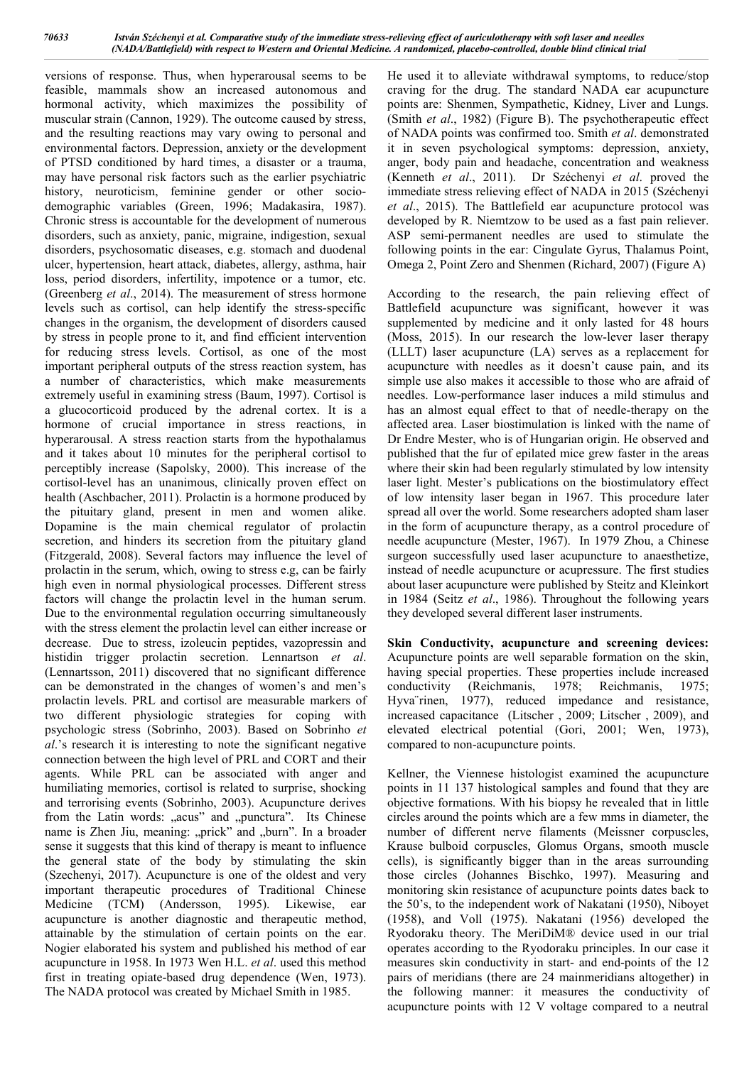versions of response. Thus, when hyperarousal seems to be feasible, mammals show an increased autonomous and hormonal activity, which maximizes the possibility of muscular strain (Cannon, 1929). The outcome caused by stress, and the resulting reactions may vary owing to personal and environmental factors. Depression, anxiety or the development of PTSD conditioned by hard times, a disaster or a trauma, may have personal risk factors such as the earlier psychiatric history, neuroticism, feminine gender or other sociodemographic variables (Green, 1996; Madakasira, 1987). Chronic stress is accountable for the development of numerous disorders, such as anxiety, panic, migraine, indigestion, sexual disorders, psychosomatic diseases, e.g. stomach and duodenal ulcer, hypertension, heart attack, diabetes, allergy, asthma, hair loss, period disorders, infertility, impotence or a tumor, etc. (Greenberg *et al*., 2014). The measurement of stress hormone levels such as cortisol, can help identify the stress-specific changes in the organism, the development of disorders caused by stress in people prone to it, and find efficient intervention for reducing stress levels. Cortisol, as one of the most important peripheral outputs of the stress reaction system, has a number of characteristics, which make measurements extremely useful in examining stress (Baum, 1997). Cortisol is a glucocorticoid produced by the adrenal cortex. It is a hormone of crucial importance in stress reactions, in hyperarousal. A stress reaction starts from the hypothalamus and it takes about 10 minutes for the peripheral cortisol to perceptibly increase (Sapolsky, 2000). This increase of the cortisol-level has an unanimous, clinically proven effect on health (Aschbacher, 2011). Prolactin is a hormone produced by the pituitary gland, present in men and women alike. Dopamine is the main chemical regulator of prolactin secretion, and hinders its secretion from the pituitary gland (Fitzgerald, 2008). Several factors may influence the level of prolactin in the serum, which, owing to stress e.g, can be fairly high even in normal physiological processes. Different stress factors will change the prolactin level in the human serum. Due to the environmental regulation occurring simultaneously with the stress element the prolactin level can either increase or decrease. Due to stress, izoleucin peptides, vazopressin and histidin trigger prolactin secretion. Lennartson *et al*. (Lennartsson, 2011) discovered that no significant difference can be demonstrated in the changes of women's and men's prolactin levels. PRL and cortisol are measurable markers of two different physiologic strategies for coping with psychologic stress (Sobrinho, 2003). Based on Sobrinho *et al*.'s research it is interesting to note the significant negative connection between the high level of PRL and CORT and their agents. While PRL can be associated with anger and humiliating memories, cortisol is related to surprise, shocking and terrorising events (Sobrinho, 2003). Acupuncture derives from the Latin words: "acus" and "punctura". Its Chinese name is Zhen Jiu, meaning: "prick" and "burn". In a broader sense it suggests that this kind of therapy is meant to influence the general state of the body by stimulating the skin (Szechenyi, 2017). Acupuncture is one of the oldest and very important therapeutic procedures of Traditional Chinese Medicine (TCM) (Andersson, 1995). Likewise, ear acupuncture is another diagnostic and therapeutic method, attainable by the stimulation of certain points on the ear. Nogier elaborated his system and published his method of ear acupuncture in 1958. In 1973 Wen H.L. *et al*. used this method first in treating opiate-based drug dependence (Wen, 1973). The NADA protocol was created by Michael Smith in 1985.

He used it to alleviate withdrawal symptoms, to reduce/stop craving for the drug. The standard NADA ear acupuncture points are: Shenmen, Sympathetic, Kidney, Liver and Lungs. (Smith *et al*., 1982) (Figure B). The psychotherapeutic effect of NADA points was confirmed too. Smith *et al*. demonstrated it in seven psychological symptoms: depression, anxiety, anger, body pain and headache, concentration and weakness (Kenneth *et al*., 2011). Dr Széchenyi *et al*. proved the immediate stress relieving effect of NADA in 2015 (Széchenyi *et al*., 2015). The Battlefield ear acupuncture protocol was developed by R. Niemtzow to be used as a fast pain reliever. ASP semi-permanent needles are used to stimulate the following points in the ear: Cingulate Gyrus, Thalamus Point, Omega 2, Point Zero and Shenmen (Richard, 2007) (Figure A)

According to the research, the pain relieving effect of Battlefield acupuncture was significant, however it was supplemented by medicine and it only lasted for 48 hours (Moss, 2015). In our research the low-lever laser therapy (LLLT) laser acupuncture (LA) serves as a replacement for acupuncture with needles as it doesn't cause pain, and its simple use also makes it accessible to those who are afraid of needles. Low-performance laser induces a mild stimulus and has an almost equal effect to that of needle-therapy on the affected area. Laser biostimulation is linked with the name of Dr Endre Mester, who is of Hungarian origin. He observed and published that the fur of epilated mice grew faster in the areas where their skin had been regularly stimulated by low intensity laser light. Mester's publications on the biostimulatory effect of low intensity laser began in 1967. This procedure later spread all over the world. Some researchers adopted sham laser in the form of acupuncture therapy, as a control procedure of needle acupuncture (Mester, 1967). In 1979 Zhou, a Chinese surgeon successfully used laser acupuncture to anaesthetize, instead of needle acupuncture or acupressure. The first studies about laser acupuncture were published by Steitz and Kleinkort in 1984 (Seitz *et al*., 1986). Throughout the following years they developed several different laser instruments.

**Skin Conductivity, acupuncture and screening devices:**  Acupuncture points are well separable formation on the skin, having special properties. These properties include increased conductivity (Reichmanis, 1978; Reichmanis, 1975; Hyva¨rinen, 1977), reduced impedance and resistance, increased capacitance (Litscher , 2009; Litscher , 2009), and elevated electrical potential (Gori, 2001; Wen, 1973), compared to non-acupuncture points.

Kellner, the Viennese histologist examined the acupuncture points in 11 137 histological samples and found that they are objective formations. With his biopsy he revealed that in little circles around the points which are a few mms in diameter, the number of different nerve filaments (Meissner corpuscles, Krause bulboid corpuscles, Glomus Organs, smooth muscle cells), is significantly bigger than in the areas surrounding those circles (Johannes Bischko, 1997). Measuring and monitoring skin resistance of acupuncture points dates back to the 50's, to the independent work of Nakatani (1950), Niboyet (1958), and Voll (1975). Nakatani (1956) developed the Ryodoraku theory. The MeriDiM® device used in our trial operates according to the Ryodoraku principles. In our case it measures skin conductivity in start- and end-points of the 12 pairs of meridians (there are 24 mainmeridians altogether) in the following manner: it measures the conductivity of acupuncture points with 12 V voltage compared to a neutral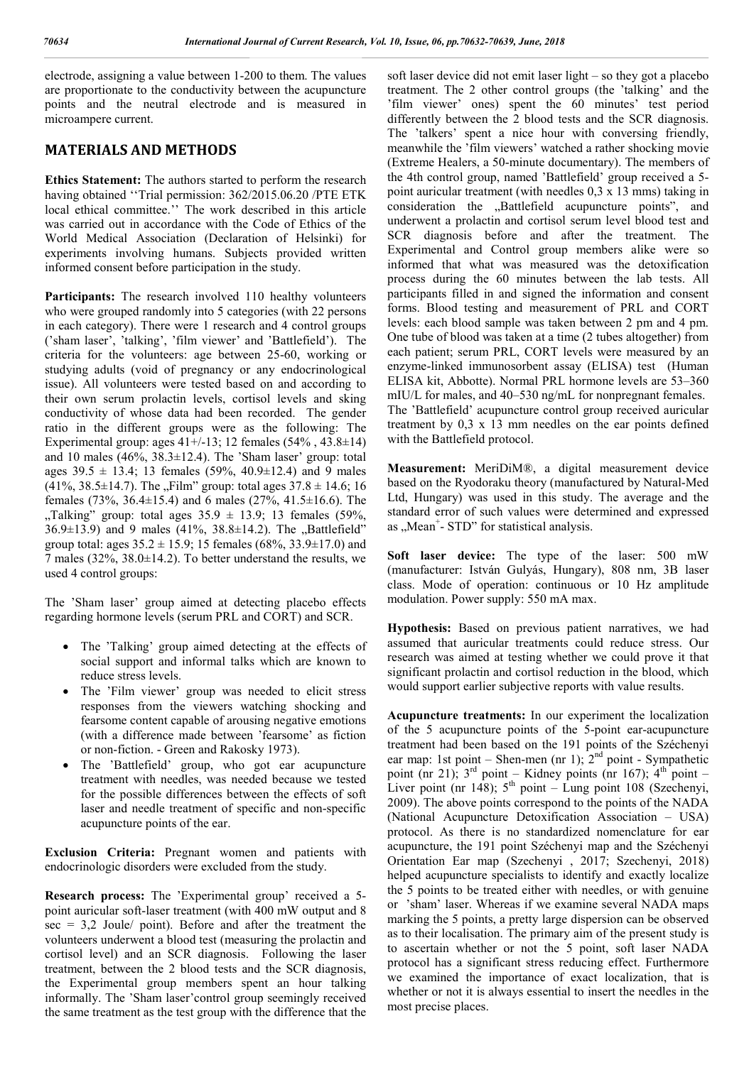electrode, assigning a value between 1-200 to them. The values are proportionate to the conductivity between the acupuncture points and the neutral electrode and is measured in microampere current.

#### **MATERIALS AND METHODS**

**Ethics Statement:** The authors started to perform the research having obtained ''Trial permission: 362/2015.06.20 /PTE ETK local ethical committee.'' The work described in this article was carried out in accordance with the Code of Ethics of the World Medical Association (Declaration of Helsinki) for experiments involving humans. Subjects provided written informed consent before participation in the study.

Participants: The research involved 110 healthy volunteers who were grouped randomly into 5 categories (with 22 persons in each category). There were 1 research and 4 control groups ('sham laser', 'talking', 'film viewer' and 'Battlefield'). The criteria for the volunteers: age between 25-60, working or studying adults (void of pregnancy or any endocrinological issue). All volunteers were tested based on and according to their own serum prolactin levels, cortisol levels and sking conductivity of whose data had been recorded. The gender ratio in the different groups were as the following: The Experimental group: ages  $41+/-13$ ; 12 females (54%, 43.8 $\pm$ 14) and 10 males (46%, 38.3±12.4). The 'Sham laser' group: total ages  $39.5 \pm 13.4$ ; 13 females (59%, 40.9±12.4) and 9 males  $(41\%, 38.5\pm14.7)$ . The "Film" group: total ages  $37.8 \pm 14.6$ ; 16 females (73%, 36.4 $\pm$ 15.4) and 6 males (27%, 41.5 $\pm$ 16.6). The "Talking" group: total ages  $35.9 \pm 13.9$ ; 13 females (59%,  $36.9\pm13.9$  and 9 males  $(41\%$ ,  $38.8\pm14.2)$ . The "Battlefield" group total: ages  $35.2 \pm 15.9$ ; 15 females (68%, 33.9 $\pm$ 17.0) and 7 males (32%, 38.0±14.2). To better understand the results, we used 4 control groups:

The 'Sham laser' group aimed at detecting placebo effects regarding hormone levels (serum PRL and CORT) and SCR.

- The 'Talking' group aimed detecting at the effects of social support and informal talks which are known to reduce stress levels.
- The 'Film viewer' group was needed to elicit stress responses from the viewers watching shocking and fearsome content capable of arousing negative emotions (with a difference made between 'fearsome' as fiction or non-fiction. - Green and Rakosky 1973).
- The 'Battlefield' group, who got ear acupuncture treatment with needles, was needed because we tested for the possible differences between the effects of soft laser and needle treatment of specific and non-specific acupuncture points of the ear.

**Exclusion Criteria:** Pregnant women and patients with endocrinologic disorders were excluded from the study.

**Research process:** The 'Experimental group' received a 5 point auricular soft-laser treatment (with 400 mW output and 8  $\sec = 3.2$  Joule/ point). Before and after the treatment the volunteers underwent a blood test (measuring the prolactin and cortisol level) and an SCR diagnosis. Following the laser treatment, between the 2 blood tests and the SCR diagnosis, the Experimental group members spent an hour talking informally. The 'Sham laser'control group seemingly received the same treatment as the test group with the difference that the

soft laser device did not emit laser light – so they got a placebo treatment. The 2 other control groups (the 'talking' and the 'film viewer' ones) spent the 60 minutes' test period differently between the 2 blood tests and the SCR diagnosis. The 'talkers' spent a nice hour with conversing friendly, meanwhile the 'film viewers' watched a rather shocking movie (Extreme Healers, a 50-minute documentary). The members of the 4th control group, named 'Battlefield' group received a 5 point auricular treatment (with needles 0,3 x 13 mms) taking in consideration the "Battlefield acupuncture points", and underwent a prolactin and cortisol serum level blood test and SCR diagnosis before and after the treatment. The Experimental and Control group members alike were so informed that what was measured was the detoxification process during the 60 minutes between the lab tests. All participants filled in and signed the information and consent forms. Blood testing and measurement of PRL and CORT levels: each blood sample was taken between 2 pm and 4 pm. One tube of blood was taken at a time (2 tubes altogether) from each patient; serum PRL, CORT levels were measured by an enzyme-linked immunosorbent assay (ELISA) test (Human ELISA kit, Abbotte). Normal PRL hormone levels are 53–360 mIU/L for males, and 40–530 ng/mL for nonpregnant females. The 'Battlefield' acupuncture control group received auricular treatment by 0,3 x 13 mm needles on the ear points defined with the Battlefield protocol.

**Measurement:** MeriDiM®, a digital measurement device based on the Ryodoraku theory (manufactured by Natural-Med Ltd, Hungary) was used in this study. The average and the standard error of such values were determined and expressed as "Mean<sup>+</sup>- STD" for statistical analysis.

**Soft laser device:** The type of the laser: 500 mW (manufacturer: István Gulyás, Hungary), 808 nm, 3B laser class. Mode of operation: continuous or 10 Hz amplitude modulation. Power supply: 550 mA max.

**Hypothesis:** Based on previous patient narratives, we had assumed that auricular treatments could reduce stress. Our research was aimed at testing whether we could prove it that significant prolactin and cortisol reduction in the blood, which would support earlier subjective reports with value results.

**Acupuncture treatments:** In our experiment the localization of the 5 acupuncture points of the 5-point ear-acupuncture treatment had been based on the 191 points of the Széchenyi ear map: 1st point – Shen-men (nr 1);  $2<sup>nd</sup>$  point - Sympathetic point (nr 21);  $3<sup>rd</sup>$  point – Kidney points (nr 167);  $4<sup>th</sup>$  point – Liver point (nr 148);  $5<sup>th</sup>$  point – Lung point 108 (Szechenyi, 2009). The above points correspond to the points of the NADA (National Acupuncture Detoxification Association – USA) protocol. As there is no standardized nomenclature for ear acupuncture, the 191 point Széchenyi map and the Széchenyi Orientation Ear map (Szechenyi , 2017; Szechenyi, 2018) helped acupuncture specialists to identify and exactly localize the 5 points to be treated either with needles, or with genuine or 'sham' laser. Whereas if we examine several NADA maps marking the 5 points, a pretty large dispersion can be observed as to their localisation. The primary aim of the present study is to ascertain whether or not the 5 point, soft laser NADA protocol has a significant stress reducing effect. Furthermore we examined the importance of exact localization, that is whether or not it is always essential to insert the needles in the most precise places.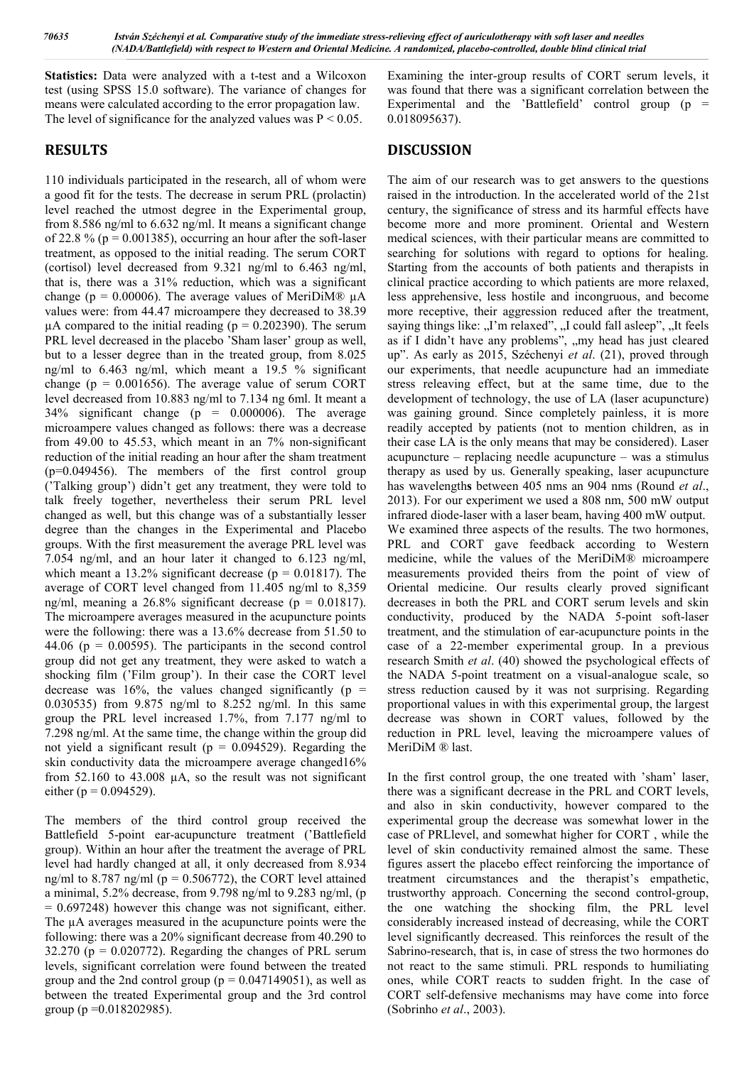**Statistics:** Data were analyzed with a t-test and a Wilcoxon test (using SPSS 15.0 software). The variance of changes for means were calculated according to the error propagation law. The level of significance for the analyzed values was  $P \le 0.05$ .

#### **RESULTS**

110 individuals participated in the research, all of whom were a good fit for the tests. The decrease in serum PRL (prolactin) level reached the utmost degree in the Experimental group, from 8.586 ng/ml to 6.632 ng/ml. It means a significant change of 22.8 % ( $p = 0.001385$ ), occurring an hour after the soft-laser treatment, as opposed to the initial reading. The serum CORT (cortisol) level decreased from 9.321 ng/ml to 6.463 ng/ml, that is, there was a 31% reduction, which was a significant change ( $p = 0.00006$ ). The average values of MeriDiM®  $\mu$ A values were: from 44.47 microampere they decreased to 38.39  $\mu$ A compared to the initial reading ( $p = 0.202390$ ). The serum PRL level decreased in the placebo 'Sham laser' group as well, but to a lesser degree than in the treated group, from 8.025 ng/ml to 6.463 ng/ml, which meant a 19.5 % significant change ( $p = 0.001656$ ). The average value of serum CORT level decreased from 10.883 ng/ml to 7.134 ng 6ml. It meant a 34% significant change (p = 0.000006). The average microampere values changed as follows: there was a decrease from 49.00 to 45.53, which meant in an 7% non-significant reduction of the initial reading an hour after the sham treatment (p=0.049456). The members of the first control group ('Talking group') didn't get any treatment, they were told to talk freely together, nevertheless their serum PRL level changed as well, but this change was of a substantially lesser degree than the changes in the Experimental and Placebo groups. With the first measurement the average PRL level was 7.054 ng/ml, and an hour later it changed to 6.123 ng/ml, which meant a 13.2% significant decrease ( $p = 0.01817$ ). The average of CORT level changed from 11.405 ng/ml to 8,359 ng/ml, meaning a  $26.8\%$  significant decrease ( $p = 0.01817$ ). The microampere averages measured in the acupuncture points were the following: there was a 13.6% decrease from 51.50 to 44.06 ( $p = 0.00595$ ). The participants in the second control group did not get any treatment, they were asked to watch a shocking film ('Film group'). In their case the CORT level decrease was 16%, the values changed significantly ( $p =$ 0.030535) from 9.875 ng/ml to 8.252 ng/ml. In this same group the PRL level increased 1.7%, from 7.177 ng/ml to 7.298 ng/ml. At the same time, the change within the group did not yield a significant result ( $p = 0.094529$ ). Regarding the skin conductivity data the microampere average changed16% from  $52.160$  to  $43.008$   $\mu$ A, so the result was not significant either ( $p = 0.094529$ ).

The members of the third control group received the Battlefield 5-point ear-acupuncture treatment ('Battlefield group). Within an hour after the treatment the average of PRL level had hardly changed at all, it only decreased from 8.934 ng/ml to 8.787 ng/ml ( $p = 0.506772$ ), the CORT level attained a minimal, 5.2% decrease, from 9.798 ng/ml to 9.283 ng/ml, (p  $= 0.697248$ ) however this change was not significant, either. The  $\mu$ A averages measured in the acupuncture points were the following: there was a 20% significant decrease from 40.290 to 32.270 ( $p = 0.020772$ ). Regarding the changes of PRL serum levels, significant correlation were found between the treated group and the 2nd control group ( $p = 0.047149051$ ), as well as between the treated Experimental group and the 3rd control group (p =0.018202985).

Examining the inter-group results of CORT serum levels, it was found that there was a significant correlation between the Experimental and the 'Battlefield' control group  $(p =$ 0.018095637).

#### **DISCUSSION**

The aim of our research was to get answers to the questions raised in the introduction. In the accelerated world of the 21st century, the significance of stress and its harmful effects have become more and more prominent. Oriental and Western medical sciences, with their particular means are committed to searching for solutions with regard to options for healing. Starting from the accounts of both patients and therapists in clinical practice according to which patients are more relaxed, less apprehensive, less hostile and incongruous, and become more receptive, their aggression reduced after the treatment, saying things like: "I'm relaxed", "I could fall asleep", "It feels as if I didn't have any problems", "my head has just cleared up". As early as 2015, Széchenyi *et al*. (21), proved through our experiments, that needle acupuncture had an immediate stress releaving effect, but at the same time, due to the development of technology, the use of LA (laser acupuncture) was gaining ground. Since completely painless, it is more readily accepted by patients (not to mention children, as in their case LA is the only means that may be considered). Laser acupuncture – replacing needle acupuncture – was a stimulus therapy as used by us. Generally speaking, laser acupuncture has wavelength**s** between 405 nms an 904 nms (Round *et al*., 2013). For our experiment we used a 808 nm, 500 mW output infrared diode-laser with a laser beam, having 400 mW output. We examined three aspects of the results. The two hormones, PRL and CORT gave feedback according to Western medicine, while the values of the MeriDiM® microampere measurements provided theirs from the point of view of Oriental medicine. Our results clearly proved significant decreases in both the PRL and CORT serum levels and skin conductivity, produced by the NADA 5-point soft-laser treatment, and the stimulation of ear-acupuncture points in the case of a 22-member experimental group. In a previous research Smith *et al*. (40) showed the psychological effects of the NADA 5-point treatment on a visual-analogue scale, so stress reduction caused by it was not surprising. Regarding proportional values in with this experimental group, the largest decrease was shown in CORT values, followed by the reduction in PRL level, leaving the microampere values of MeriDiM ® last.

In the first control group, the one treated with 'sham' laser, there was a significant decrease in the PRL and CORT levels, and also in skin conductivity, however compared to the experimental group the decrease was somewhat lower in the case of PRLlevel, and somewhat higher for CORT , while the level of skin conductivity remained almost the same. These figures assert the placebo effect reinforcing the importance of treatment circumstances and the therapist's empathetic, trustworthy approach. Concerning the second control-group, the one watching the shocking film, the PRL level considerably increased instead of decreasing, while the CORT level significantly decreased. This reinforces the result of the Sabrino-research, that is, in case of stress the two hormones do not react to the same stimuli. PRL responds to humiliating ones, while CORT reacts to sudden fright. In the case of CORT self-defensive mechanisms may have come into force (Sobrinho *et al*., 2003).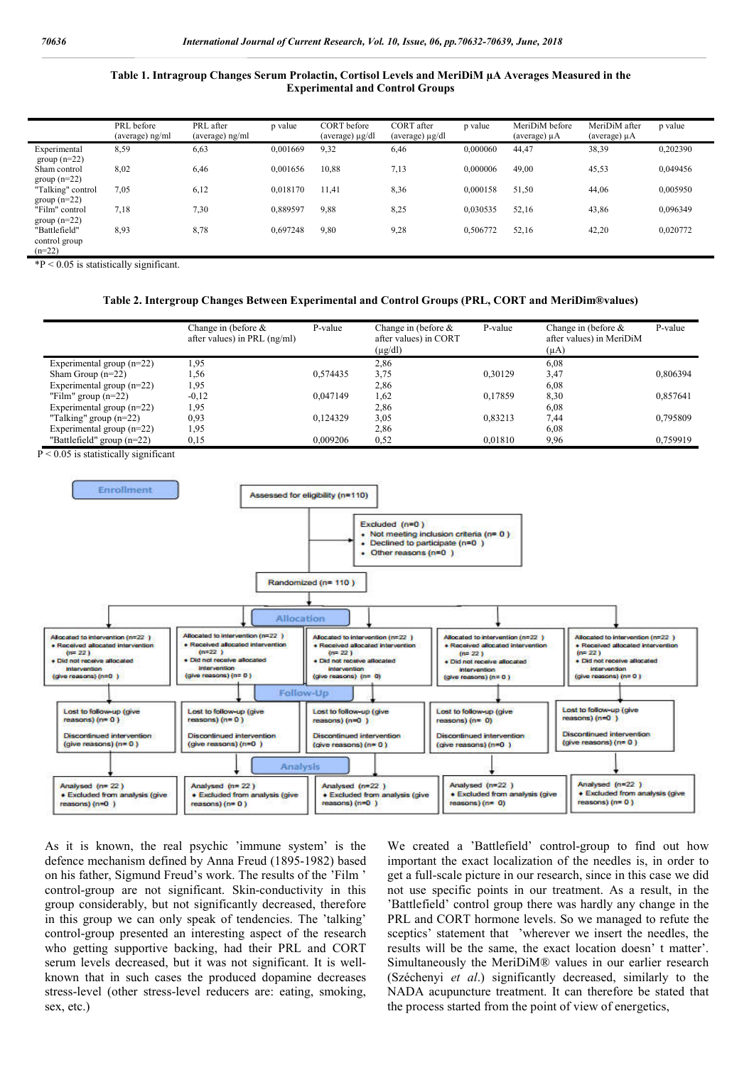#### **Table 1. Intragroup Changes Serum Prolactin, Cortisol Levels and MeriDiM µA Averages Measured in the Experimental and Control Groups**

|                                     | PRL before<br>(average) ng/ml | PRL after<br>(average) ng/ml | p value  | CORT before<br>(average) $\mu$ g/dl | CORT after<br>(average) $\mu$ g/dl | p value  | MeriDiM before<br>(average) $\mu$ A | MeriDiM after<br>(average) $\mu$ A | p value  |
|-------------------------------------|-------------------------------|------------------------------|----------|-------------------------------------|------------------------------------|----------|-------------------------------------|------------------------------------|----------|
| Experimental<br>group $(n=22)$      | 8,59                          | 6,63                         | 0,001669 | 9,32                                | 6,46                               | 0,000060 | 44,47                               | 38,39                              | 0,202390 |
| Sham control<br>group $(n=22)$      | 8,02                          | 6,46                         | 0,001656 | 10,88                               | 7,13                               | 0,000006 | 49.00                               | 45,53                              | 0,049456 |
| "Talking" control<br>group $(n=22)$ | 7,05                          | 6,12                         | 0,018170 | 11,41                               | 8,36                               | 0,000158 | 51,50                               | 44,06                              | 0,005950 |
| "Film" control<br>group $(n=22)$    | 7.18                          | 7,30                         | 0,889597 | 9.88                                | 8,25                               | 0,030535 | 52,16                               | 43,86                              | 0,096349 |
| "Battlefield"<br>control group      | 8,93                          | 8,78                         | 0,697248 | 9,80                                | 9,28                               | 0,506772 | 52,16                               | 42,20                              | 0,020772 |
| $(n=22)$                            |                               |                              |          |                                     |                                    |          |                                     |                                    |          |

\*P < 0.05 is statistically significant.

#### **Table 2. Intergroup Changes Between Experimental and Control Groups (PRL, CORT and MeriDim®values)**

|                              | Change in (before $\&$<br>after values) in PRL (ng/ml) | P-value  | Change in (before $\&$<br>after values) in CORT<br>$(\mu g/dl)$ | P-value | Change in (before $\&$<br>after values) in MeriDiM<br>$(\mu A)$ | P-value  |
|------------------------------|--------------------------------------------------------|----------|-----------------------------------------------------------------|---------|-----------------------------------------------------------------|----------|
| Experimental group $(n=22)$  | 1.95                                                   |          | 2,86                                                            |         | 6,08                                                            |          |
| Sham Group $(n=22)$          | .56                                                    | 0.574435 | 3,75                                                            | 0.30129 | 3,47                                                            | 0.806394 |
| Experimental group $(n=22)$  | 1.95                                                   |          | 2,86                                                            |         | 6,08                                                            |          |
| "Film" group $(n=22)$        | $-0.12$                                                | 0.047149 | 1,62                                                            | 0,17859 | 8,30                                                            | 0,857641 |
| Experimental group $(n=22)$  | 1.95                                                   |          | 2,86                                                            |         | 6,08                                                            |          |
| "Talking" group $(n=22)$     | 0.93                                                   | 0.124329 | 3,05                                                            | 0.83213 | 7.44                                                            | 0,795809 |
| Experimental group $(n=22)$  | 1.95                                                   |          | 2,86                                                            |         | 6,08                                                            |          |
| "Battlefield" group $(n=22)$ | 0.15                                                   | 0.009206 | 0.52                                                            | 0.01810 | 9.96                                                            | 0.759919 |

 $P < 0.05$  is statistically significant



As it is known, the real psychic 'immune system' is the defence mechanism defined by Anna Freud (1895-1982) based on his father, Sigmund Freud's work. The results of the 'Film ' control-group are not significant. Skin-conductivity in this group considerably, but not significantly decreased, therefore in this group we can only speak of tendencies. The 'talking' control-group presented an interesting aspect of the research who getting supportive backing, had their PRL and CORT serum levels decreased, but it was not significant. It is wellknown that in such cases the produced dopamine decreases stress-level (other stress-level reducers are: eating, smoking, sex, etc.)

We created a 'Battlefield' control-group to find out how important the exact localization of the needles is, in order to get a full-scale picture in our research, since in this case we did not use specific points in our treatment. As a result, in the 'Battlefield' control group there was hardly any change in the PRL and CORT hormone levels. So we managed to refute the sceptics' statement that 'wherever we insert the needles, the results will be the same, the exact location doesn' t matter'. Simultaneously the MeriDiM® values in our earlier research (Széchenyi *et al*.) significantly decreased, similarly to the NADA acupuncture treatment. It can therefore be stated that the process started from the point of view of energetics,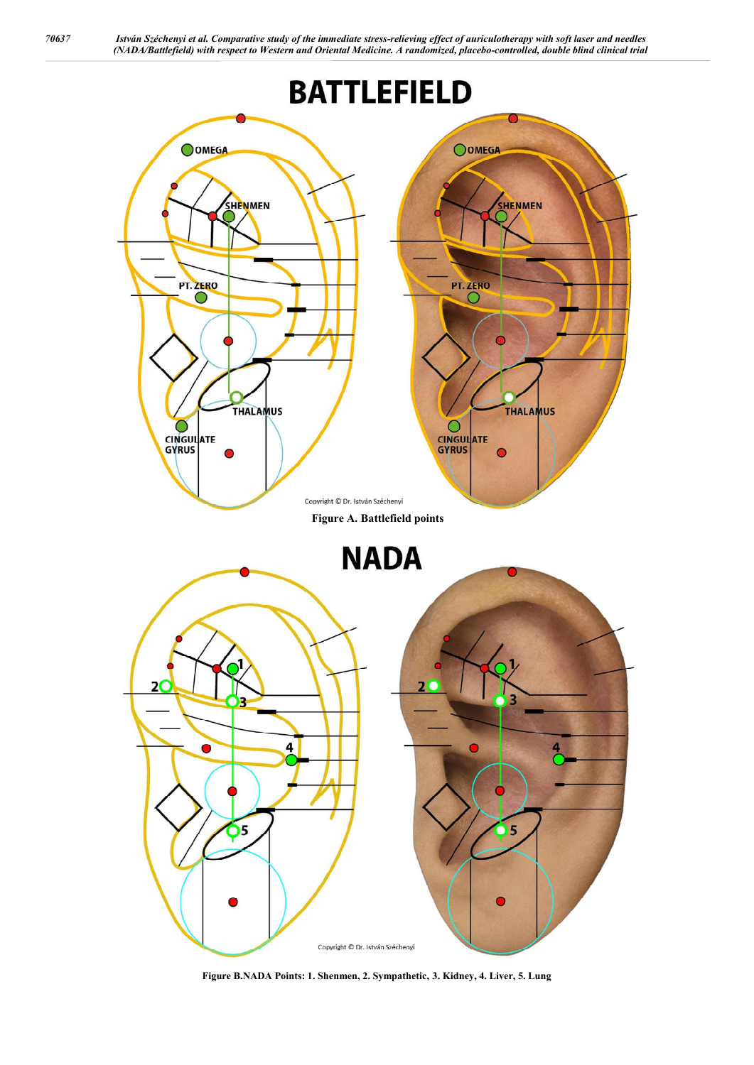

**Figure B.NADA Points: 1. Shenmen, 2. Sympathetic, 3. Kidney, 4. Liver, 5. Lung**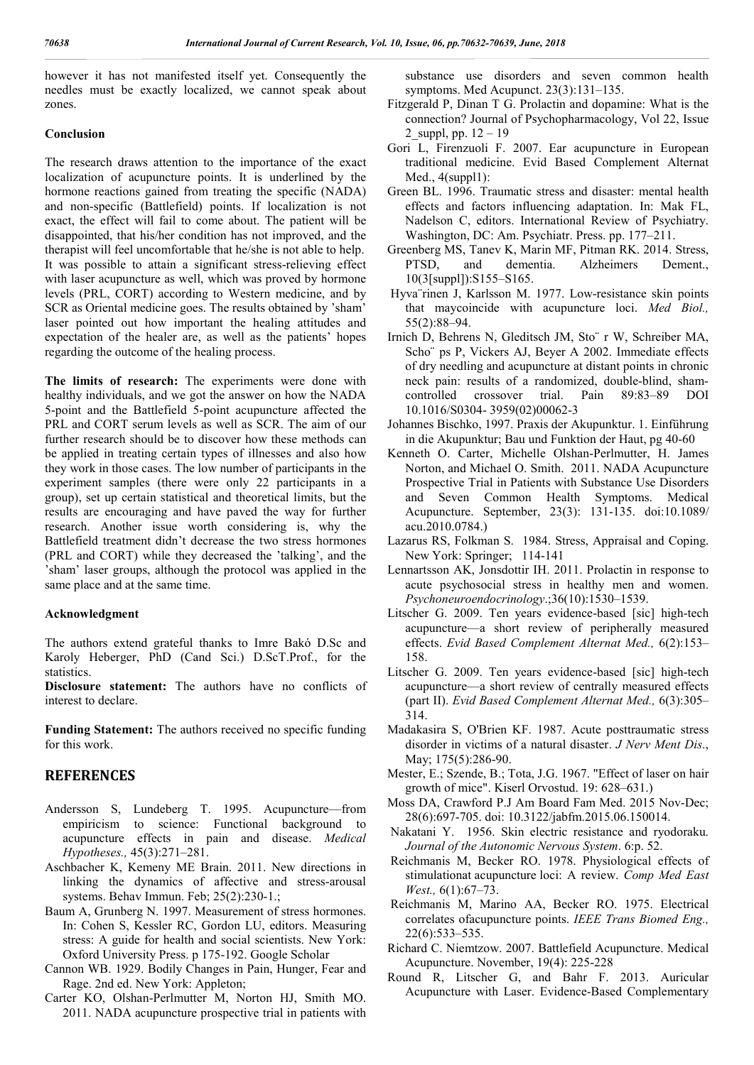however it has not manifested itself yet. Consequently the needles must be exactly localized, we cannot speak about zones.

#### **Conclusion**

The research draws attention to the importance of the exact localization of acupuncture points. It is underlined by the hormone reactions gained from treating the specific (NADA) and non-specific (Battlefield) points. If localization is not exact, the effect will fail to come about. The patient will be disappointed, that his/her condition has not improved, and the therapist will feel uncomfortable that he/she is not able to help. It was possible to attain a significant stress-relieving effect with laser acupuncture as well, which was proved by hormone levels (PRL, CORT) according to Western medicine, and by SCR as Oriental medicine goes. The results obtained by 'sham' laser pointed out how important the healing attitudes and expectation of the healer are, as well as the patients' hopes regarding the outcome of the healing process.

**The limits of research:** The experiments were done with healthy individuals, and we got the answer on how the NADA 5-point and the Battlefield 5-point acupuncture affected the PRL and CORT serum levels as well as SCR. The aim of our further research should be to discover how these methods can be applied in treating certain types of illnesses and also how they work in those cases. The low number of participants in the experiment samples (there were only 22 participants in a group), set up certain statistical and theoretical limits, but the results are encouraging and have paved the way for further research. Another issue worth considering is, why the Battlefield treatment didn't decrease the two stress hormones (PRL and CORT) while they decreased the 'talking', and the 'sham' laser groups, although the protocol was applied in the same place and at the same time.

#### **Acknowledgment**

The authors extend grateful thanks to Imre Bakó D.Sc and Karoly Heberger, PhD (Cand Sci.) D.ScT.Prof., for the statistics.

**Disclosure statement:** The authors have no conflicts of interest to declare.

**Funding Statement:** The authors received no specific funding for this work.

#### **REFERENCES**

- Andersson S, Lundeberg T. 1995. Acupuncture—from empiricism to science: Functional background to acupuncture effects in pain and disease. *Medical Hypotheses.,* 45(3):271–281.
- Aschbacher K, Kemeny ME Brain. 2011. New directions in linking the dynamics of affective and stress-arousal systems. Behav Immun. Feb; 25(2):230-1.;
- Baum A, Grunberg N. 1997. Measurement of stress hormones. In: Cohen S, Kessler RC, Gordon LU, editors. Measuring stress: A guide for health and social scientists. New York: Oxford University Press. p 175-192. Google Scholar
- Cannon WB. 1929. Bodily Changes in Pain, Hunger, Fear and Rage. 2nd ed. New York: Appleton;
- Carter KO, Olshan-Perlmutter M, Norton HJ, Smith MO. 2011. NADA acupuncture prospective trial in patients with

substance use disorders and seven common health symptoms. Med Acupunct. 23(3):131–135.

- Fitzgerald P, Dinan T G. Prolactin and dopamine: What is the connection? Journal of Psychopharmacology, Vol 22, Issue 2 suppl, pp.  $12 - 19$
- Gori L, Firenzuoli F. 2007. Ear acupuncture in European traditional medicine. Evid Based Complement Alternat Med., 4(suppl1):
- Green BL. 1996. Traumatic stress and disaster: mental health effects and factors influencing adaptation. In: Mak FL, Nadelson C, editors. International Review of Psychiatry. Washington, DC: Am. Psychiatr. Press. pp. 177–211.
- Greenberg MS, Tanev K, Marin MF, Pitman RK. 2014. Stress, PTSD, and dementia. Alzheimers Dement., 10(3[suppl]):S155–S165.
- Hyva¨rinen J, Karlsson M. 1977. Low-resistance skin points that maycoincide with acupuncture loci. *Med Biol.,* 55(2):88–94.
- Irnich D, Behrens N, Gleditsch JM, Sto¨ r W, Schreiber MA, Scho¨ ps P, Vickers AJ, Beyer A 2002. Immediate effects of dry needling and acupuncture at distant points in chronic neck pain: results of a randomized, double-blind, shamcontrolled crossover trial. Pain 89:83–89 DOI 10.1016/S0304- 3959(02)00062-3
- Johannes Bischko, 1997. Praxis der Akupunktur. 1. Einführung in die Akupunktur; Bau und Funktion der Haut, pg 40-60
- Kenneth O. Carter, Michelle Olshan-Perlmutter, H. James Norton, and Michael O. Smith. 2011. NADA Acupuncture Prospective Trial in Patients with Substance Use Disorders and Seven Common Health Symptoms. Medical Acupuncture. September, 23(3): 131-135. doi:10.1089/ acu.2010.0784.)
- Lazarus RS, Folkman S. 1984. Stress, Appraisal and Coping. New York: Springer; 114-141
- Lennartsson AK, Jonsdottir IH. 2011. Prolactin in response to acute psychosocial stress in healthy men and women. *Psychoneuroendocrinology*.;36(10):1530–1539.
- Litscher G. 2009. Ten years evidence-based [sic] high-tech acupuncture—a short review of peripherally measured effects. *Evid Based Complement Alternat Med.,* 6(2):153– 158.
- Litscher G. 2009. Ten years evidence-based [sic] high-tech acupuncture—a short review of centrally measured effects (part II). *Evid Based Complement Alternat Med.,* 6(3):305– 314.
- Madakasira S, O'Brien KF. 1987. Acute posttraumatic stress disorder in victims of a natural disaster. *J Nerv Ment Dis*., May; 175(5):286-90.
- Mester, E.; Szende, B.; Tota, J.G. 1967. "Effect of laser on hair growth of mice". Kiserl Orvostud. 19: 628–631.)
- Moss DA, Crawford P.J Am Board Fam Med. 2015 Nov-Dec; 28(6):697-705. doi: 10.3122/jabfm.2015.06.150014.
- Nakatani Y. 1956. Skin electric resistance and ryodoraku. *Journal of the Autonomic Nervous System*. 6:p. 52.
- Reichmanis M, Becker RO. 1978. Physiological effects of stimulationat acupuncture loci: A review. *Comp Med East West.,* 6(1):67–73.
- Reichmanis M, Marino AA, Becker RO. 1975. Electrical correlates ofacupuncture points. *IEEE Trans Biomed Eng.,* 22(6):533–535.
- Richard C. Niemtzow. 2007. Battlefield Acupuncture. Medical Acupuncture. November, 19(4): 225-228
- Round R, Litscher G, and Bahr F. 2013. Auricular Acupuncture with Laser. Evidence-Based Complementary